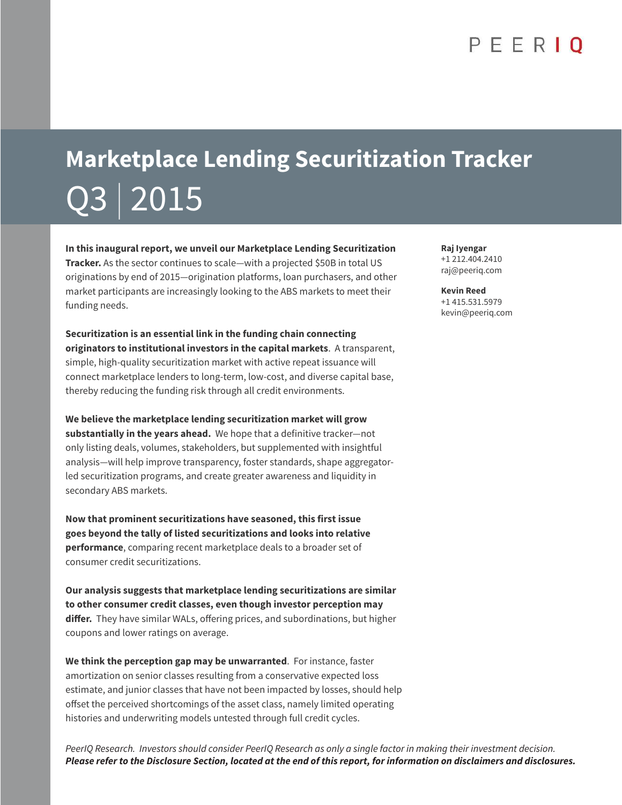# **Marketplace Lending Securitization Tracker** Q3 | 2015

**In this inaugural report, we unveil our Marketplace Lending Securitization Tracker.** As the sector continues to scale—with a projected \$50B in total US originations by end of 2015—origination platforms, loan purchasers, and other market participants are increasingly looking to the ABS markets to meet their funding needs.

**Securitization is an essential link in the funding chain connecting originators to institutional investors in the capital markets**. A transparent, simple, high-quality securitization market with active repeat issuance will connect marketplace lenders to long-term, low-cost, and diverse capital base, thereby reducing the funding risk through all credit environments.

**We believe the marketplace lending securitization market will grow substantially in the years ahead.** We hope that a definitive tracker—not only listing deals, volumes, stakeholders, but supplemented with insightful analysis—will help improve transparency, foster standards, shape aggregatorled securitization programs, and create greater awareness and liquidity in secondary ABS markets.

**Now that prominent securitizations have seasoned, this first issue goes beyond the tally of listed securitizations and looks into relative performance**, comparing recent marketplace deals to a broader set of consumer credit securitizations.

**Our analysis suggests that marketplace lending securitizations are similar to other consumer credit classes, even though investor perception may**  differ. They have similar WALs, offering prices, and subordinations, but higher coupons and lower ratings on average.

**We think the perception gap may be unwarranted**. For instance, faster amortization on senior classes resulting from a conservative expected loss estimate, and junior classes that have not been impacted by losses, should help offset the perceived shortcomings of the asset class, namely limited operating histories and underwriting models untested through full credit cycles.

PeerIQ Research. Investors should consider PeerIQ Research as only a single factor in making their investment decision. **Please refer to the Disclosure Section, located at the end of this report, for information on disclaimers and disclosures.**

**Raj Iyengar** +1 212.404.2410 raj@peeriq.com

**Kevin Reed** +1 415.531.5979 kevin@peeriq.com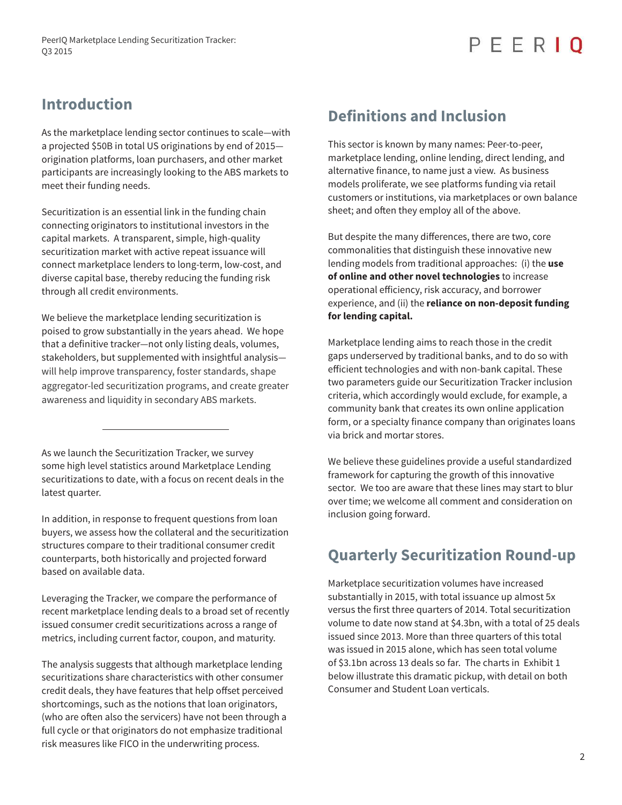### **Introduction**

As the marketplace lending sector continues to scale—with a projected \$50B in total US originations by end of 2015 origination platforms, loan purchasers, and other market participants are increasingly looking to the ABS markets to meet their funding needs.

Securitization is an essential link in the funding chain connecting originators to institutional investors in the capital markets. A transparent, simple, high-quality securitization market with active repeat issuance will connect marketplace lenders to long-term, low-cost, and diverse capital base, thereby reducing the funding risk through all credit environments.

We believe the marketplace lending securitization is poised to grow substantially in the years ahead. We hope that a definitive tracker—not only listing deals, volumes, stakeholders, but supplemented with insightful analysis will help improve transparency, foster standards, shape aggregator-led securitization programs, and create greater awareness and liquidity in secondary ABS markets.

As we launch the Securitization Tracker, we survey some high level statistics around Marketplace Lending securitizations to date, with a focus on recent deals in the latest quarter.

In addition, in response to frequent questions from loan buyers, we assess how the collateral and the securitization structures compare to their traditional consumer credit counterparts, both historically and projected forward based on available data.

Leveraging the Tracker, we compare the performance of recent marketplace lending deals to a broad set of recently issued consumer credit securitizations across a range of metrics, including current factor, coupon, and maturity.

The analysis suggests that although marketplace lending securitizations share characteristics with other consumer credit deals, they have features that help offset perceived shortcomings, such as the notions that loan originators, (who are often also the servicers) have not been through a full cycle or that originators do not emphasize traditional risk measures like FICO in the underwriting process.

### **Definitions and Inclusion**

This sector is known by many names: Peer-to-peer, marketplace lending, online lending, direct lending, and alternative finance, to name just a view. As business models proliferate, we see platforms funding via retail customers or institutions, via marketplaces or own balance sheet; and often they employ all of the above.

But despite the many differences, there are two, core commonalities that distinguish these innovative new lending models from traditional approaches: (i) the **use of online and other novel technologies** to increase operational efficiency, risk accuracy, and borrower experience, and (ii) the **reliance on non-deposit funding for lending capital.**

Marketplace lending aims to reach those in the credit gaps underserved by traditional banks, and to do so with efficient technologies and with non-bank capital. These two parameters guide our Securitization Tracker inclusion criteria, which accordingly would exclude, for example, a community bank that creates its own online application form, or a specialty finance company than originates loans via brick and mortar stores.

We believe these guidelines provide a useful standardized framework for capturing the growth of this innovative sector. We too are aware that these lines may start to blur over time; we welcome all comment and consideration on inclusion going forward.

### **Quarterly Securitization Round-up**

Marketplace securitization volumes have increased substantially in 2015, with total issuance up almost 5x versus the first three quarters of 2014. Total securitization volume to date now stand at \$4.3bn, with a total of 25 deals issued since 2013. More than three quarters of this total was issued in 2015 alone, which has seen total volume of \$3.1bn across 13 deals so far. The charts in Exhibit 1 below illustrate this dramatic pickup, with detail on both Consumer and Student Loan verticals.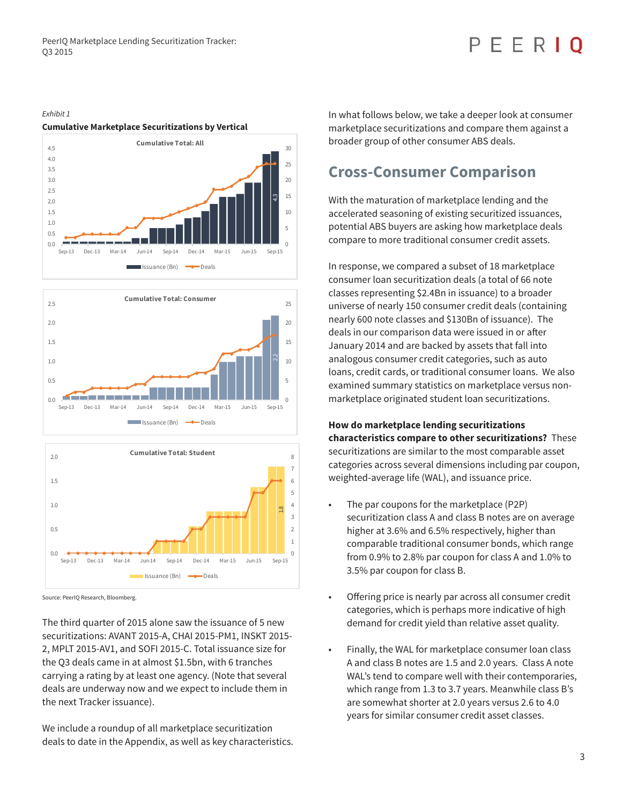# FFRIO

#### Exhibit 1

#### **Cumulative Marketplace Securitizations by Vertical**







Source: PeerIQ Research, Bloomberg.

The third quarter of 2015 alone saw the issuance of 5 new securitizations: AVANT 2015-A, CHAI 2015-PM1, INSKT 2015- 2, MPLT 2015-AV1, and SOFI 2015-C. Total issuance size for the Q3 deals came in at almost \$1.5bn, with 6 tranches carrying a rating by at least one agency. (Note that several deals are underway now and we expect to include them in the next Tracker issuance).

We include a roundup of all marketplace securitization deals to date in the Appendix, as well as key characteristics. In what follows below, we take a deeper look at consumer marketplace securitizations and compare them against a broader group of other consumer ABS deals.

### **Cross-Consumer Comparison**

With the maturation of marketplace lending and the accelerated seasoning of existing securitized issuances, potential ABS buyers are asking how marketplace deals compare to more traditional consumer credit assets.

In response, we compared a subset of 18 marketplace consumer loan securitization deals (a total of 66 note classes representing \$2.4Bn in issuance) to a broader universe of nearly 150 consumer credit deals (containing nearly 600 note classes and \$130Bn of issuance). The deals in our comparison data were issued in or after January 2014 and are backed by assets that fall into analogous consumer credit categories, such as auto loans, credit cards, or traditional consumer loans. We also examined summary statistics on marketplace versus nonmarketplace originated student loan securitizations.

#### **How do marketplace lending securitizations characteristics compare to other securitizations?** These securitizations are similar to the most comparable asset categories across several dimensions including par coupon, weighted-average life (WAL), and issuance price.

- The par coupons for the marketplace (P2P) securitization class A and class B notes are on average higher at 3.6% and 6.5% respectively, higher than comparable traditional consumer bonds, which range from 0.9% to 2.8% par coupon for class A and 1.0% to 3.5% par coupon for class B.
- Offering price is nearly par across all consumer credit categories, which is perhaps more indicative of high demand for credit yield than relative asset quality.
- Finally, the WAL for marketplace consumer loan class A and class B notes are 1.5 and 2.0 years. Class A note WAL's tend to compare well with their contemporaries, which range from 1.3 to 3.7 years. Meanwhile class B's are somewhat shorter at 2.0 years versus 2.6 to 4.0 years for similar consumer credit asset classes.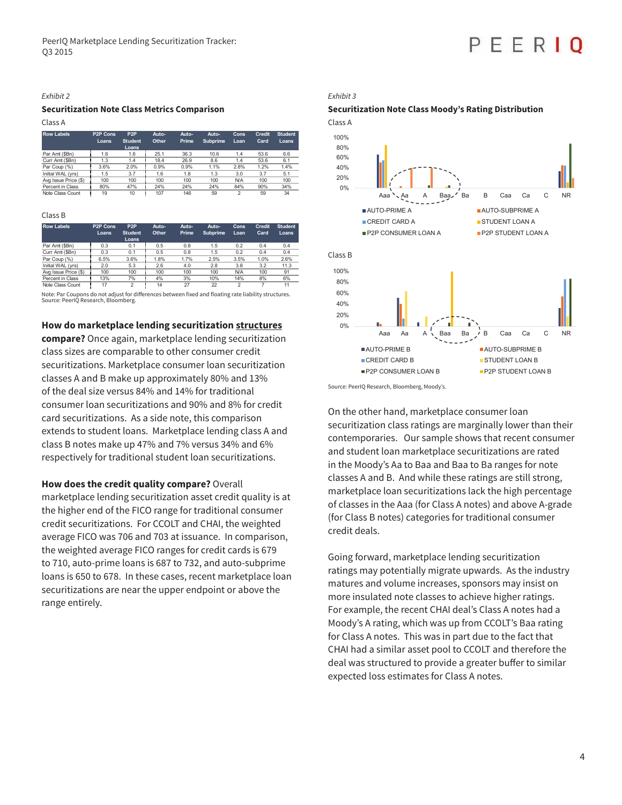#### Exhibit 2

#### **Securitization Note Class Metrics Comparison**

Class A

| <b>Row Labels</b>    | P <sub>2</sub> P Cons<br>Loans | P <sub>2</sub> P<br><b>Student</b><br>Loans | Auto-<br>Other | Auto-<br>Prime | Auto-<br><b>Subprime</b> | Cons<br>Loan | <b>Credit</b><br>Card | <b>Student</b><br>Loans |
|----------------------|--------------------------------|---------------------------------------------|----------------|----------------|--------------------------|--------------|-----------------------|-------------------------|
| Par Amt (\$Bn)       | 1.6                            | 1.6                                         | 25.1           | 36.3           | 106                      | 14           | 53.6                  | 6.6                     |
| Curr Amt (\$Bn)      | 13                             | 14                                          | 184            | 26.9           | 86                       | 14           | 53.6                  |                         |
| $\frac{1}{2}$<br>Par | 3.6%                           | 2.0%                                        | 0.9%           | $\Omega$ a%    | 1%                       | 2.8%         | 20/2                  | 1.4%                    |
| Initial WAL (vrs)    | 1.5                            | 37                                          | 6              | 18             | 13                       | 30           | 37                    | 5.                      |
| Avg Issue Price (\$) | 100                            | 100                                         | 100            | 100            | 100                      | <b>N/A</b>   | 100                   | 100                     |
| rcent in Class       | 80%                            | 47%                                         | 24%            | 24%            | 24%                      | 84%          | 90%                   | 34%                     |
| Note Class Count     | 19                             | 10                                          | 107            | 146            | 59                       |              | 59                    | 34                      |

#### Class B

| <b>Row Labels</b>    | P <sub>2</sub> P Cons | P <sub>2</sub> P | Auto- | Auto- | Auto-    | Cons  | Credit | <b>Student</b> |
|----------------------|-----------------------|------------------|-------|-------|----------|-------|--------|----------------|
|                      | Loans                 | <b>Student</b>   | Other | Prime | Subprime | Loan  | Card   | Loans          |
|                      |                       | Loans            |       |       |          |       |        |                |
| Par Amt (\$Bn)       | ሰ 3                   | n 1              | 0.5   | n R   | 15       | ሰ 2   |        |                |
| Curr Amt (\$Bn)      | በግ                    |                  | 0 5   | nя    | -5       | በጋ    |        |                |
| (°/<br>Par Coun      | 6.5%                  | 3.6%             | 1.8%  | 7%    | 2.5%     | 3.5%  | 1.0%   | 2.6%           |
| Initial WAL (vrs)    |                       |                  | 6     |       | າ ຂ      | ર વ્ર |        |                |
| Ava Issue Price (\$) | 100                   | 100              | 100   | 100   | 100      | NΙ/ Δ | 1ሰበ    | Ω1             |
| Percent in Class     | 13%                   | 7%               | 4%    | 3%    | 10%      | 14%   | 8%     | 6%             |
| Note Class Count     |                       |                  | 14    | 27    | 22       |       |        |                |

Note: Par Coupons do not adjust for differences between fixed and floating rate liability structures. Source: PeerIQ Research, Bloomberg.

**How do marketplace lending securitization structures** 

**compare?** Once again, marketplace lending securitization class sizes are comparable to other consumer credit securitizations. Marketplace consumer loan securitization classes A and B make up approximately 80% and 13% of the deal size versus 84% and 14% for traditional consumer loan securitizations and 90% and 8% for credit card securitizations. As a side note, this comparison extends to student loans. Marketplace lending class A and class B notes make up 47% and 7% versus 34% and 6% respectively for traditional student loan securitizations.

**How does the credit quality compare?** Overall

marketplace lending securitization asset credit quality is at the higher end of the FICO range for traditional consumer credit securitizations. For CCOLT and CHAI, the weighted average FICO was 706 and 703 at issuance. In comparison, the weighted average FICO ranges for credit cards is 679 to 710, auto-prime loans is 687 to 732, and auto-subprime loans is 650 to 678. In these cases, recent marketplace loan securitizations are near the upper endpoint or above the range entirely.

Exhibit 3

#### **Securitization Note Class Moody's Rating Distribution**

FFRI



Source: PeerIQ Research, Bloomberg, Moody's.

On the other hand, marketplace consumer loan securitization class ratings are marginally lower than their contemporaries. Our sample shows that recent consumer and student loan marketplace securitizations are rated in the Moody's Aa to Baa and Baa to Ba ranges for note classes A and B. And while these ratings are still strong, marketplace loan securitizations lack the high percentage of classes in the Aaa (for Class A notes) and above A-grade (for Class B notes) categories for traditional consumer credit deals.

Going forward, marketplace lending securitization ratings may potentially migrate upwards. As the industry matures and volume increases, sponsors may insist on more insulated note classes to achieve higher ratings. For example, the recent CHAI deal's Class A notes had a Moody's A rating, which was up from CCOLT's Baa rating for Class A notes. This was in part due to the fact that CHAI had a similar asset pool to CCOLT and therefore the deal was structured to provide a greater buffer to similar expected loss estimates for Class A notes.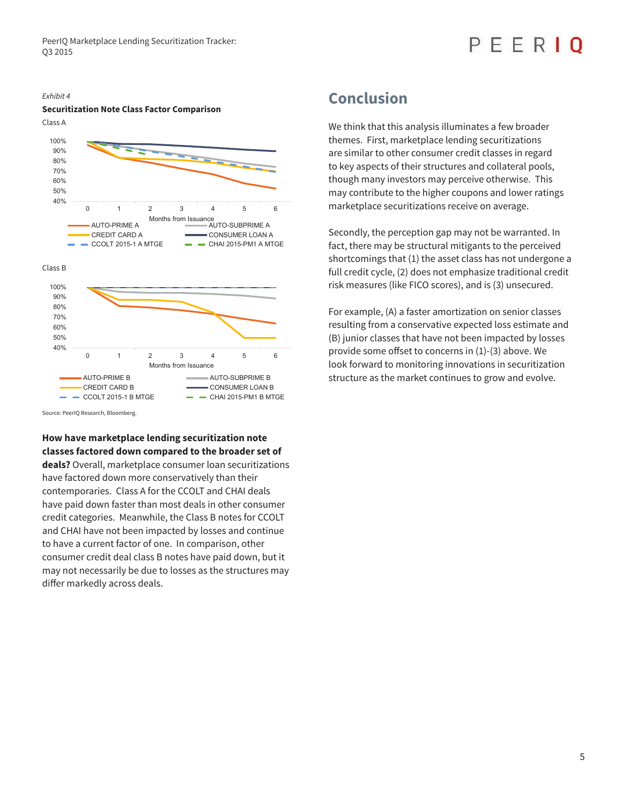#### Exhibit 4 **Securitization Note Class Factor Comparison**



Source: PeerIQ Research, Bloomberg.

#### **How have marketplace lending securitization note classes factored down compared to the broader set of**

**deals?** Overall, marketplace consumer loan securitizations have factored down more conservatively than their contemporaries. Class A for the CCOLT and CHAI deals have paid down faster than most deals in other consumer credit categories. Meanwhile, the Class B notes for CCOLT and CHAI have not been impacted by losses and continue to have a current factor of one. In comparison, other consumer credit deal class B notes have paid down, but it may not necessarily be due to losses as the structures may differ markedly across deals.

### **Conclusion**

We think that this analysis illuminates a few broader themes. First, marketplace lending securitizations are similar to other consumer credit classes in regard to key aspects of their structures and collateral pools, though many investors may perceive otherwise. This may contribute to the higher coupons and lower ratings marketplace securitizations receive on average.

Secondly, the perception gap may not be warranted. In fact, there may be structural mitigants to the perceived shortcomings that (1) the asset class has not undergone a full credit cycle, (2) does not emphasize traditional credit risk measures (like FICO scores), and is (3) unsecured.

For example, (A) a faster amortization on senior classes resulting from a conservative expected loss estimate and (B) junior classes that have not been impacted by losses provide some offset to concerns in  $(1)-(3)$  above. We look forward to monitoring innovations in securitization structure as the market continues to grow and evolve.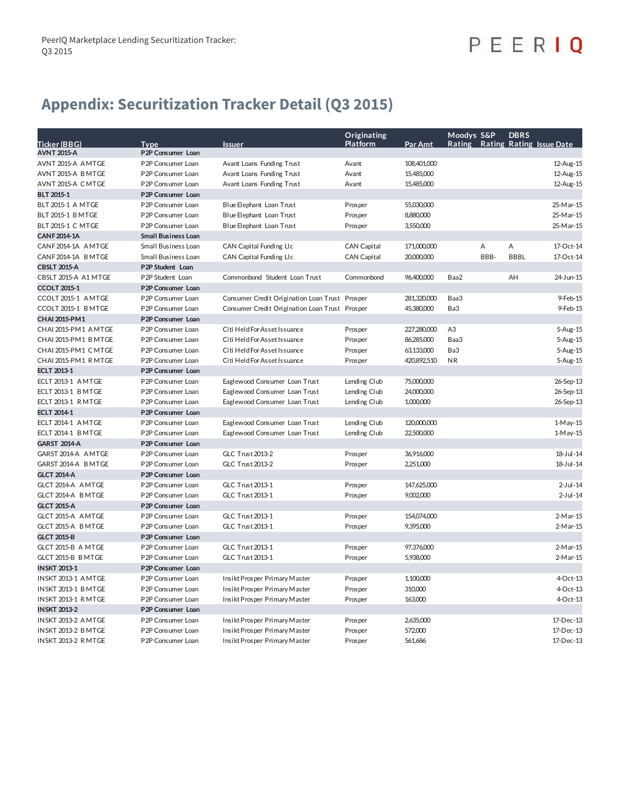## PEERIQ

### **Appendix: Securitization Tracker Detail (Q3 2015)**

|                                           |                                        |                                                | Originating        |             | Moodys S&P     |      | <b>DBRS</b> |                                 |
|-------------------------------------------|----------------------------------------|------------------------------------------------|--------------------|-------------|----------------|------|-------------|---------------------------------|
| Ticker (BBG)                              | <b>Type</b>                            | <b>Issuer</b>                                  | <b>Platform</b>    | Par Amt     |                |      |             | Rating Rating Rating Issue Date |
| <b>AVNT 2015-A</b>                        | P2P Consumer Loan                      |                                                |                    |             |                |      |             |                                 |
| AVNT 2015-A AMTGE                         | P <sub>2</sub> P Consumer Loan         | Avant Loans Funding Trust                      | Avant              | 108,401,000 |                |      |             | 12-Aug-15                       |
| AVNT 2015-A BMTGE                         | P2P Consumer Loan                      | Avant Loans Funding Trust                      | Avant              | 15,485,000  |                |      |             | 12-Aug-15                       |
| AVNT 2015-A CMTGE                         | P2P Consumer Loan                      | Avant Loans Funding Trust                      | Avant              | 15,485,000  |                |      |             | 12-Aug-15                       |
| <b>BLT 2015-1</b>                         | P2P Consumer Loan                      |                                                |                    |             |                |      |             |                                 |
| BLT 2015-1 A MTGE                         | P2P Consumer Loan                      | Blue Elephant Loan Trust                       | Prosper            | 55,030,000  |                |      |             | 25-Mar-15                       |
| <b>BLT 2015-1 BMTGE</b>                   | P <sub>2</sub> P Consumer Loan         | Blue Elephant Loan Trust                       | Prosper            | 8,880,000   |                |      |             | 25-Mar-15                       |
| BLT 2015-1 C MTGE                         | P2P Consumer Loan                      | Blue Elephant Loan Trust                       | Prosper            | 3,550,000   |                |      |             | 25-Mar-15                       |
| <b>CANF2014-1A</b>                        | <b>Small Business Loan</b>             |                                                |                    |             |                |      |             |                                 |
| CANF2014-1A AMTGE                         | Small Business Loan                    | CAN Capital Funding LIc                        | <b>CAN Capital</b> | 171,000,000 |                | А    | A           | 17-Oct-14                       |
| CANF2014-1A BMTGE                         | Small Business Loan                    | <b>CAN Capital Funding LIc</b>                 | <b>CAN Capital</b> | 20,000,000  |                | BBB- | <b>BBBL</b> | 17-Oct-14                       |
| <b>CBSLT 2015-A</b>                       | P2P Student Loan                       |                                                |                    |             |                |      |             |                                 |
| CBSLT 2015-A A1 MTGE                      | P2P Student Loan                       | Commonbond Student Loan Trust                  | Commonbond         | 96,400,000  | Baa2           |      | AH          | 24-Jun-15                       |
| <b>CCOLT 2015-1</b>                       | P <sub>2</sub> P Consumer Loan         |                                                |                    |             |                |      |             |                                 |
| CCOLT 2015-1 AMTGE                        | P <sub>2</sub> P Consumer Loan         | Consumer Credit Origination Loan Trust Prosper |                    | 281,320,000 | Baa3           |      |             | 9-Feb-15                        |
| CCOLT 2015-1 BMTGE                        | P2P Consumer Loan                      | Consumer Credit Origination Loan Trust Prosper |                    | 45,380,000  | Ba3            |      |             | 9-Feb-15                        |
| CHAI 2015-PM1                             | P2P Consumer Loan                      |                                                |                    |             |                |      |             |                                 |
| CHAI 2015-PM1 AMTGE                       | P <sub>2</sub> P Consumer Loan         | Citi Held For Asset Issuance                   | Prosper            | 227,280,000 | A <sub>3</sub> |      |             | 5-Aug-15                        |
| CHAI 2015-PM1 BMTGE                       | P2P Consumer Loan                      | Citi Held For Asset Issuance                   | Prosper            | 86,285,000  | Baa3           |      |             | 5-Aug-15                        |
| CHAI 2015-PM1 CMTGE                       | P2P Consumer Loan                      | Citi Held For Asset Issuance                   | Prosper            | 63,133,000  | Ba3            |      |             | 5-Aug-15                        |
| CHAI 2015-PM1 RMTGE                       | P2P Consumer Loan                      | Citi Held For Asset Issuance                   | Prosper            | 420,892,510 | <b>NR</b>      |      |             | 5-Aug-15                        |
| <b>ECLT 2013-1</b>                        | P <sub>2</sub> P Consumer Loan         |                                                |                    |             |                |      |             |                                 |
| ECLT 2013-1 AMTGE                         | P2P Consumer Loan                      | Eaglewood Consumer Loan Trust                  | Lending Club       | 75,000,000  |                |      |             | 26-Sep-13                       |
| ECLT 2013-1 BMTGE                         | P2P Consumer Loan                      | Eaglewood Consumer Loan Trust                  | Lending Club       | 24,000,000  |                |      |             | 26-Sep-13                       |
| ECLT 2013-1 RMTGE                         | P2P Consumer Loan                      | Eaglewood Consumer Loan Trust                  | Lending Club       | 1,000,000   |                |      |             | 26-Sep-13                       |
| <b>ECLT 2014-1</b>                        | P2P Consumer Loan                      |                                                |                    |             |                |      |             |                                 |
| ECLT 2014-1 AMTGE                         | P2P Consumer Loan                      | Eaglewood Consumer Loan Trust                  | Lending Club       | 120,000,000 |                |      |             | 1-May-15                        |
| ECLT 2014-1 BMTGE                         | P2P Consumer Loan                      | Eaglewood Consumer Loan Trust                  | Lending Club       | 22,500,000  |                |      |             | $1-M$ ay- $15$                  |
| <b>GARST 2014-A</b>                       | P2P Consumer Loan                      |                                                |                    |             |                |      |             |                                 |
| GARST 2014-A AMTGE                        | P2P Consumer Loan                      | <b>GLC Trust 2013-2</b>                        | Prosper            | 36,916,000  |                |      |             | 18-Jul-14                       |
| GARST 2014-A BMTGE                        | P2P Consumer Loan                      | <b>GLC Trust 2013-2</b>                        | Prosper            | 2,251,000   |                |      |             | 18-Jul-14                       |
| <b>GLCT 2014-A</b>                        | P2P Consumer Loan                      |                                                |                    |             |                |      |             |                                 |
| GLCT 2014-A AMTGE                         | P2P Consumer Loan                      | <b>GLC Trust 2013-1</b>                        | Prosper            | 147,625,000 |                |      |             | $2$ -Jul-14                     |
| GLCT 2014-A BMTGE                         | P2P Consumer Loan                      | <b>GLC Trust 2013-1</b>                        | Prosper            | 9,002,000   |                |      |             | $2-Jul-14$                      |
| <b>GLCT 2015-A</b>                        | P2P Consumer Loan                      |                                                |                    |             |                |      |             |                                 |
| GLCT 2015-A AMTGE                         | P2P Consumer Loan                      | <b>GLC Trust 2013-1</b>                        | Prosper            | 154,074,000 |                |      |             | 2-Mar-15                        |
| GLCT 2015-A BMTGE                         | P <sub>2</sub> P Consumer Loan         | GLC Trust 2013-1                               | Prosper            | 9,395,000   |                |      |             | 2-Mar-15                        |
| <b>GLCT 2015-B</b>                        | P2P Consumer Loan                      |                                                |                    |             |                |      |             |                                 |
| GLCT 2015-B A MTGE                        | P2P Consumer Loan                      | <b>GLC Trust 2013-1</b>                        | Prosper            | 97,376,000  |                |      |             | 2-Mar-15                        |
| GLCT 2015-B B MTGE                        | P2P Consumer Loan                      | <b>GLC Trust 2013-1</b>                        | Prosper            | 5,938,000   |                |      |             | 2-Mar-15                        |
| <b>INSKT 2013-1</b>                       | P2P Consumer Loan                      |                                                |                    |             |                |      |             |                                 |
| INSKT 2013-1 AMTGE                        | P2P Consumer Loan                      | Insikt Prosper Primary Master                  | Prosper            | 1,100,000   |                |      |             | 4-Oct-13                        |
| INSKT 2013-1 BMTGE                        | P2P Consumer Loan                      | Insikt Prosper Primary Master                  | Prosper            | 310,000     |                |      |             | 4-Oct-13                        |
|                                           |                                        |                                                |                    | 163,000     |                |      |             | 4-Oct-13                        |
| INSKT 2013-1 RMTGE<br><b>INSKT 2013-2</b> | P2P Consumer Loan<br>P2P Consumer Loan | Insikt Prosper Primary Master                  | Prosper            |             |                |      |             |                                 |
| INSKT 2013-2 AMTGE                        | P2P Consumer Loan                      | Insikt Prosper Primary Master                  | Prosper            | 2,635,000   |                |      |             | 17-Dec-13                       |
| INSKT 2013-2 BMTGE                        |                                        |                                                |                    | 572,000     |                |      |             | 17-Dec-13                       |
|                                           | P <sub>2</sub> P Consumer Loan         | Insikt Prosper Primary Master                  | Prosper            |             |                |      |             |                                 |
| INSKT 2013-2 RMTGE                        | P2P Consumer Loan                      | Insikt Prosper Primary Master                  | Prosper            | 561,686     |                |      |             | 17-Dec-13                       |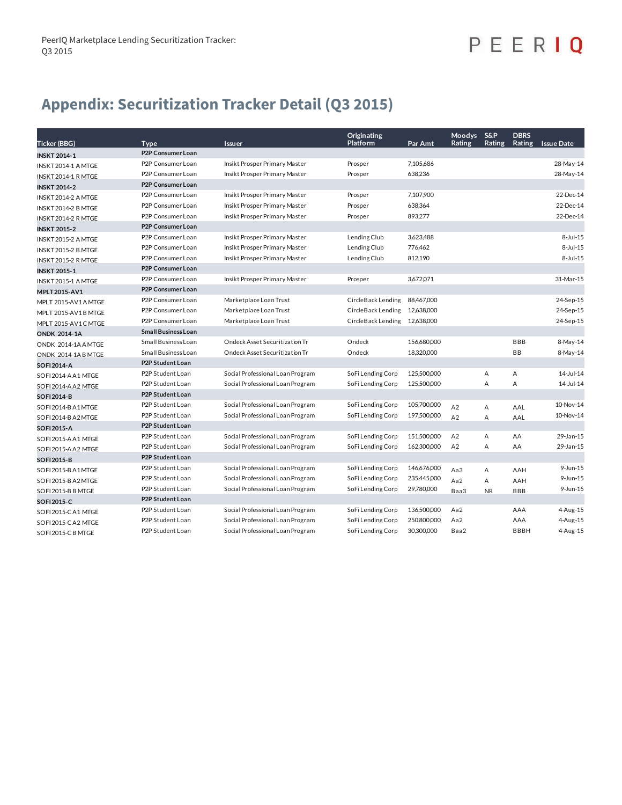# PEERIQ

### **Appendix: Securitization Tracker Detail (Q3 2015)**

| <b>Ticker (BBG)</b> | Type                       | Issuer                           | Originating<br>Platform | Par Amt     | Moodys S&P<br>Rating | Rating    | <b>DBRS</b><br>Rating | <b>Issue Date</b> |
|---------------------|----------------------------|----------------------------------|-------------------------|-------------|----------------------|-----------|-----------------------|-------------------|
| <b>INSKT 2014-1</b> | P2P Consumer Loan          |                                  |                         |             |                      |           |                       |                   |
| INSKT2014-1 AMTGE   | P2P Consumer Loan          | Insikt Prosper Primary Master    | Prosper                 | 7,105,686   |                      |           |                       | 28-May-14         |
| INSKT2014-1 R MTGE  | P2P Consumer Loan          | Insikt Prosper Primary Master    | Prosper                 | 638,236     |                      |           |                       | 28-May-14         |
| <b>INSKT 2014-2</b> | <b>P2P Consumer Loan</b>   |                                  |                         |             |                      |           |                       |                   |
| INSKT 2014-2 A MTGE | P2P Consumer Loan          | Insikt Prosper Primary Master    | Prosper                 | 7,107,900   |                      |           |                       | 22-Dec-14         |
| INSKT 2014-2 B MTGE | P2P Consumer Loan          | Insikt Prosper Primary Master    | Prosper                 | 638,364     |                      |           |                       | 22-Dec-14         |
| INSKT2014-2 R MTGE  | P2P Consumer Loan          | Insikt Prosper Primary Master    | Prosper                 | 893.277     |                      |           |                       | 22-Dec-14         |
| <b>INSKT 2015-2</b> | <b>P2P Consumer Loan</b>   |                                  |                         |             |                      |           |                       |                   |
| INSKT 2015-2 A MTGE | P2P Consumer Loan          | Insikt Prosper Primary Master    | Lending Club            | 3,623,488   |                      |           |                       | $8-Jul-15$        |
| INSKT 2015-2 B MTGE | P2P Consumer Loan          | Insikt Prosper Primary Master    | Lending Club            | 776,462     |                      |           |                       | 8-Jul-15          |
| INSKT2015-2 R MTGE  | P2P Consumer Loan          | Insikt Prosper Primary Master    | Lending Club            | 812,190     |                      |           |                       | 8-Jul-15          |
| <b>INSKT 2015-1</b> | <b>P2P Consumer Loan</b>   |                                  |                         |             |                      |           |                       |                   |
| INSKT 2015-1 A MTGE | P2P Consumer Loan          | Insikt Prosper Primary Master    | Prosper                 | 3,672,071   |                      |           |                       | 31-Mar-15         |
| MPLT2015-AV1        | <b>P2P Consumer Loan</b>   |                                  |                         |             |                      |           |                       |                   |
| MPLT 2015-AV1AMTGE  | P2P Consumer Loan          | Marketplace Loan Trust           | CircleBack Lending      | 88,467,000  |                      |           |                       | 24-Sep-15         |
| MPLT 2015-AV1B MTGE | P2P Consumer Loan          | Marketplace Loan Trust           | CircleBack Lending      | 12,638,000  |                      |           |                       | 24-Sep-15         |
| MPLT 2015-AV1C MTGE | P2P Consumer Loan          | Marketplace Loan Trust           | CircleBack Lending      | 12,638,000  |                      |           |                       | 24-Sep-15         |
| <b>ONDK 2014-1A</b> | <b>Small Business Loan</b> |                                  |                         |             |                      |           |                       |                   |
| ONDK 2014-1A A MTGE | Small Business Loan        | Ondeck Asset Securitization Tr   | Ondeck                  | 156,680,000 |                      |           | <b>BBB</b>            | 8-May-14          |
| ONDK 2014-1A B MTGE | Small Business Loan        | Ondeck Asset Securitization Tr   | Ondeck                  | 18.320.000  |                      |           | <b>BB</b>             | 8-May-14          |
| <b>SOFI2014-A</b>   | <b>P2P Student Loan</b>    |                                  |                         |             |                      |           |                       |                   |
| SOFI 2014-A A1 MTGE | P2P Student Loan           | Social Professional Loan Program | SoFi Lending Corp       | 125,500,000 |                      | Α         | Α                     | 14-Jul-14         |
| SOFI 2014-A A2 MTGE | P2P Student Loan           | Social Professional Loan Program | SoFi Lending Corp       | 125,500,000 |                      | А         | A                     | 14-Jul-14         |
| <b>SOFI2014-B</b>   | P2P Student Loan           |                                  |                         |             |                      |           |                       |                   |
| SOFI 2014-B A1 MTGE | P2P Student Loan           | Social Professional Loan Program | SoFi Lending Corp       | 105,700,000 | A <sub>2</sub>       | Α         | AAL                   | 10-Nov-14         |
| SOFI 2014-B A2 MTGE | P2P Student Loan           | Social Professional Loan Program | SoFi Lending Corp       | 197,500,000 | A2                   | A         | AAL                   | 10-Nov-14         |
| <b>SOFI2015-A</b>   | <b>P2P Student Loan</b>    |                                  |                         |             |                      |           |                       |                   |
| SOFI 2015-A A1 MTGE | P2P Student Loan           | Social Professional Loan Program | SoFi Lending Corp       | 151,500,000 | A2                   | Α         | AA                    | 29-Jan-15         |
| SOFI 2015-A A2 MTGE | P2P Student Loan           | Social Professional Loan Program | SoFi Lending Corp       | 162,300,000 | A2                   | A         | AA                    | 29-Jan-15         |
| <b>SOFI2015-B</b>   | <b>P2P Student Loan</b>    |                                  |                         |             |                      |           |                       |                   |
| SOFI 2015-B A1 MTGE | P2P Student Loan           | Social Professional Loan Program | SoFi Lending Corp       | 146,676,000 | Aa3                  | Α         | AAH                   | 9-Jun-15          |
| SOFI 2015-B A2 MTGE | P2P Student Loan           | Social Professional Loan Program | SoFi Lending Corp       | 235,445,000 | Aa2                  | Α         | AAH                   | 9-Jun-15          |
| SOFI 2015-B B MTGE  | P2P Student Loan           | Social Professional Loan Program | SoFi Lending Corp       | 29,780,000  | Baa3                 | <b>NR</b> | <b>BBB</b>            | 9-Jun-15          |
| SOFI2015-C          | <b>P2P Student Loan</b>    |                                  |                         |             |                      |           |                       |                   |
| SOFI 2015-CA1 MTGE  | P2P Student Loan           | Social Professional Loan Program | SoFi Lending Corp       | 136,500,000 | Aa2                  |           | AAA                   | 4-Aug-15          |
| SOFI 2015-CA2 MTGE  | P2P Student Loan           | Social Professional Loan Program | SoFi Lending Corp       | 250,800,000 | Aa2                  |           | AAA                   | 4-Aug-15          |
| SOFI 2015-C B MTGE  | P2P Student Loan           | Social Professional Loan Program | SoFi Lending Corp       | 30,300,000  | Baa2                 |           | <b>BBBH</b>           | 4-Aug-15          |